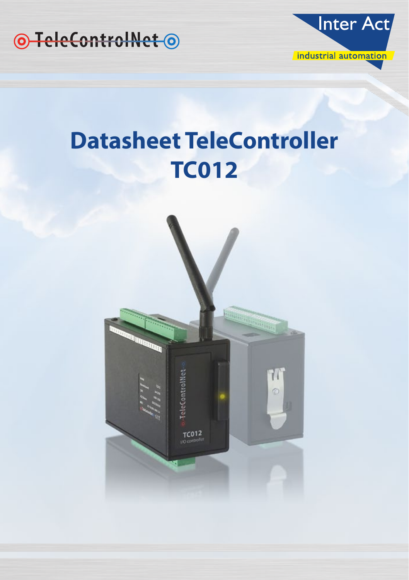



# **Datasheet TeleController TC012**

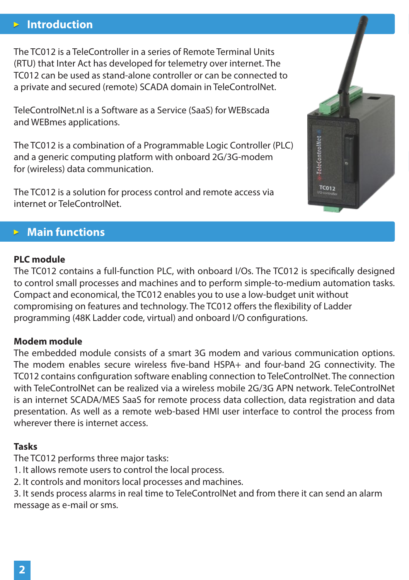# **Introduction**

The TC012 is a TeleController in a series of Remote Terminal Units (RTU) that Inter Act has developed for telemetry over internet. The TC012 can be used as stand-alone controller or can be connected to a private and secured (remote) SCADA domain in TeleControlNet.

TeleControlNet.nl is a Software as a Service (SaaS) for WEBscada and WEBmes applications.

The TC012 is a combination of a Programmable Logic Controller (PLC) and a generic computing platform with onboard 2G/3G-modem for (wireless) data communication.

The TC012 is a solution for process control and remote access via internet or TeleControlNet.

## **Main functions**

#### **PLC module**

The TC012 contains a full-function PLC, with onboard I/Os. The TC012 is specifically designed to control small processes and machines and to perform simple-to-medium automation tasks. Compact and economical, the TC012 enables you to use a low-budget unit without compromising on features and technology. The TC012 offers the flexibility of Ladder programming (48K Ladder code, virtual) and onboard I/O configurations.

### **Modem module**

The embedded module consists of a smart 3G modem and various communication options. The modem enables secure wireless five-band HSPA+ and four-band 2G connectivity. The TC012 contains configuration software enabling connection to TeleControlNet. The connection with TeleControlNet can be realized via a wireless mobile 2G/3G APN network. TeleControlNet is an internet SCADA/MES SaaS for remote process data collection, data registration and data presentation. As well as a remote web-based HMI user interface to control the process from wherever there is internet access.

## **Tasks**

The TC012 performs three major tasks:

1. It allows remote users to control the local process.

2. It controls and monitors local processes and machines.

3. It sends process alarms in real time to TeleControlNet and from there it can send an alarm message as e-mail or sms.

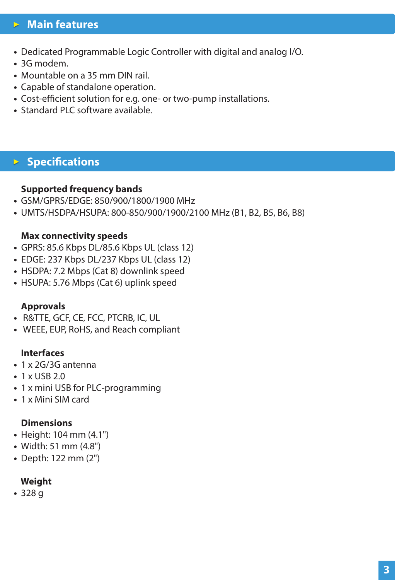# **Main features**

- Dedicated Programmable Logic Controller with digital and analog I/O.
- 3G modem.
- Mountable on a 35 mm DIN rail.
- Capable of standalone operation.
- Cost-efficient solution for e.g. one- or two-pump installations.
- Standard PLC software available.

## **Specifications**

#### **Supported frequency bands**

- GSM/GPRS/EDGE: 850/900/1800/1900 MHz
- UMTS/HSDPA/HSUPA: 800-850/900/1900/2100 MHz (B1, B2, B5, B6, B8)

#### **Max connectivity speeds**

- **•** GPRS: 85.6 Kbps DL/85.6 Kbps UL (class 12)
- **•** EDGE: 237 Kbps DL/237 Kbps UL (class 12)
- **•** HSDPA: 7.2 Mbps (Cat 8) downlink speed
- HSUPA: 5.76 Mbps (Cat 6) uplink speed

#### **Approvals**

- R&TTE, GCF, CE, FCC, PTCRB, IC, UL
- WEEE, EUP, RoHS, and Reach compliant

#### **Interfaces**

- 1 x 2G/3G antenna
- 1 x USB 2.0
- 1 x mini USB for PLC-programming
- 1 x Mini SIM card

#### **Dimensions**

- Height: 104 mm (4.1")
- Width: 51 mm (4.8")
- Depth: 122 mm (2")

#### **Weight**

**•** 328 g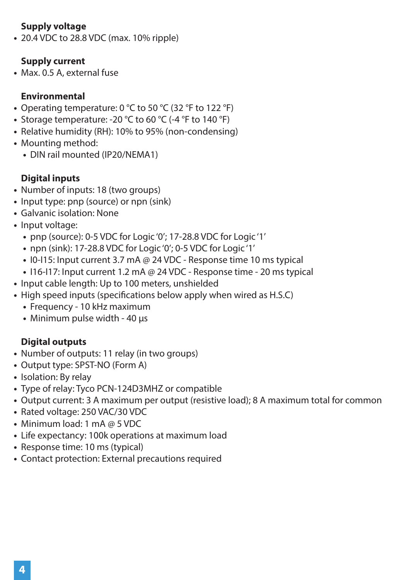## **Supply voltage**

**•** 20.4 VDC to 28.8 VDC (max. 10% ripple)

## **Supply current**

**•** Max. 0.5 A, external fuse

## **Environmental**

- Operating temperature: 0 °C to 50 °C (32 °F to 122 °F)
- Storage temperature: -20 °C to 60 °C (-4 °F to 140 °F)
- Relative humidity (RH): 10% to 95% (non-condensing)
- Mounting method:
	- DIN rail mounted (IP20/NEMA1)

## **Digital inputs**

- Number of inputs: 18 (two groups)
- Input type: pnp (source) or npn (sink)
- Galvanic isolation: None
- Input voltage:
	- pnp (source): 0-5 VDC for Logic '0'; 17-28.8 VDC for Logic '1'
	- npn (sink): 17-28.8 VDC for Logic '0'; 0-5 VDC for Logic '1'
	- I0-I15: Input current 3.7 mA @ 24 VDC Response time 10 ms typical
	- I16-I17: Input current 1.2 mA @ 24 VDC Response time 20 ms typical
- Input cable length: Up to 100 meters, unshielded
- High speed inputs (specifications below apply when wired as H.S.C)
	- Frequency 10 kHz maximum
	- Minimum pulse width 40 µs

## **Digital outputs**

- Number of outputs: 11 relay (in two groups)
- Output type: SPST-NO (Form A)
- Isolation: By relay
- Type of relay: Tyco PCN-124D3MHZ or compatible
- Output current: 3 A maximum per output (resistive load); 8 A maximum total for common
- Rated voltage: 250 VAC/30 VDC
- Minimum load: 1 mA @ 5 VDC
- Life expectancy: 100k operations at maximum load
- Response time: 10 ms (typical)
- Contact protection: External precautions required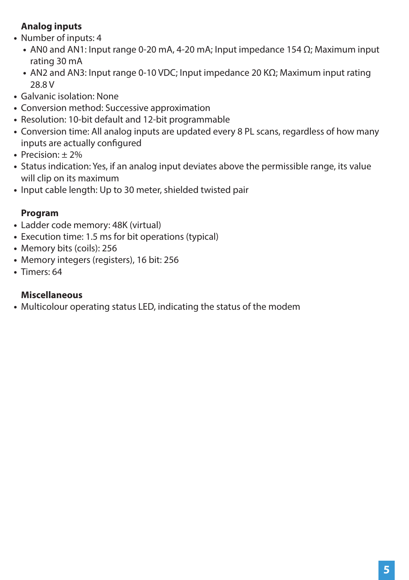## **Analog inputs**

- Number of inputs: 4
	- AN0 and AN1: Input range 0-20 mA, 4-20 mA; Input impedance 154 Ω; Maximum input rating 30 mA
	- AN2 and AN3: Input range 0-10 VDC; Input impedance 20 KΩ; Maximum input rating 28.8 V
- Galvanic isolation: None
- Conversion method: Successive approximation
- Resolution: 10-bit default and 12-bit programmable
- Conversion time: All analog inputs are updated every 8 PL scans, regardless of how many inputs are actually configured
- Precision: ± 2%
- Status indication: Yes, if an analog input deviates above the permissible range, its value will clip on its maximum
- Input cable length: Up to 30 meter, shielded twisted pair

## **Program**

- Ladder code memory: 48K (virtual)
- Execution time: 1.5 ms for bit operations (typical)
- Memory bits (coils): 256
- Memory integers (registers), 16 bit: 256
- Timers: 64

## **Miscellaneous**

**•** Multicolour operating status LED, indicating the status of the modem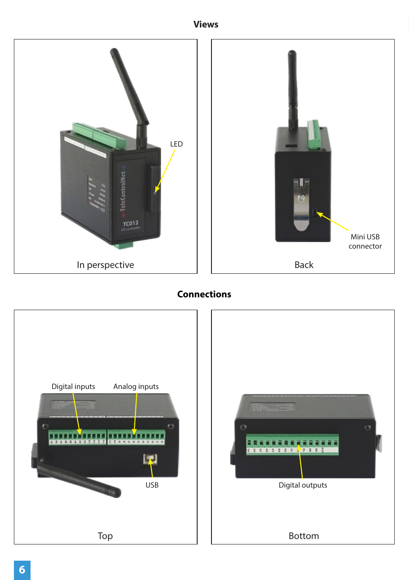**Views**



## **Connections**

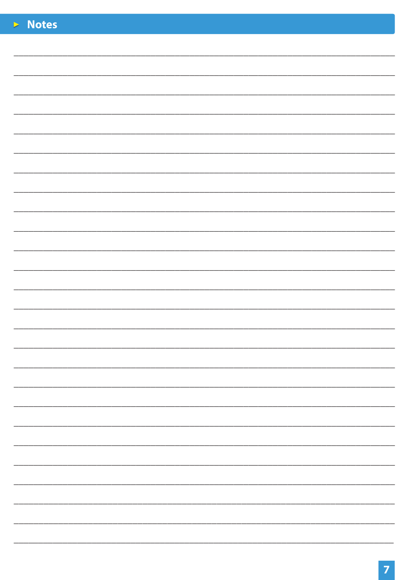| $\triangleright$ Notes |  |
|------------------------|--|
|                        |  |
|                        |  |
|                        |  |
|                        |  |
|                        |  |
|                        |  |
|                        |  |
|                        |  |
|                        |  |
|                        |  |
|                        |  |
|                        |  |
|                        |  |
|                        |  |
|                        |  |
|                        |  |
|                        |  |
|                        |  |
|                        |  |
|                        |  |
|                        |  |
|                        |  |
|                        |  |
|                        |  |
|                        |  |
|                        |  |
|                        |  |
|                        |  |
|                        |  |